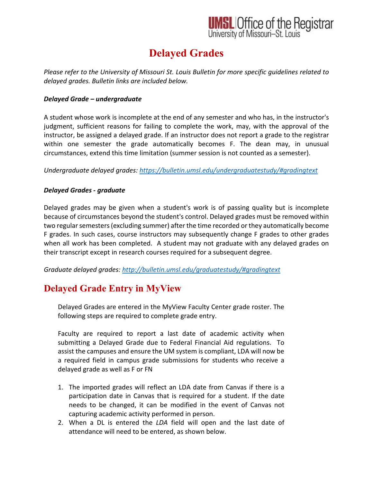## **UMSL Office of the Registrar**<br>University of Missouri-St. Louis

## **Delayed Grades**

*Please refer to the University of Missouri St. Louis Bulletin for more specific guidelines related to delayed grades. Bulletin links are included below.* 

### *Delayed Grade – undergraduate*

A student whose work is incomplete at the end of any semester and who has, in the instructor's judgment, sufficient reasons for failing to complete the work, may, with the approval of the instructor, be assigned a delayed grade. If an instructor does not report a grade to the registrar within one semester the grade automatically becomes F. The dean may, in unusual circumstances, extend this time limitation (summer session is not counted as a semester).

*Undergraduate delayed grades:<https://bulletin.umsl.edu/undergraduatestudy/#gradingtext>*

### *Delayed Grades - graduate*

Delayed grades may be given when a student's work is of passing quality but is incomplete because of circumstances beyond the student's control. Delayed grades must be removed within two regular semesters (excluding summer) after the time recorded or they automatically become F grades. In such cases, course instructors may subsequently change F grades to other grades when all work has been completed. A student may not graduate with any delayed grades on their transcript except in research courses required for a subsequent degree.

*Graduate delayed grades:<http://bulletin.umsl.edu/graduatestudy/#gradingtext>*

### **Delayed Grade Entry in MyView**

Delayed Grades are entered in the MyView Faculty Center grade roster. The following steps are required to complete grade entry.

Faculty are required to report a last date of academic activity when submitting a Delayed Grade due to Federal Financial Aid regulations. To assist the campuses and ensure the UM system is compliant, LDA will now be a required field in campus grade submissions for students who receive a delayed grade as well as F or FN

- 1. The imported grades will reflect an LDA date from Canvas if there is a participation date in Canvas that is required for a student. If the date needs to be changed, it can be modified in the event of Canvas not capturing academic activity performed in person.
- 2. When a DL is entered the *LDA* field will open and the last date of attendance will need to be entered, as shown below.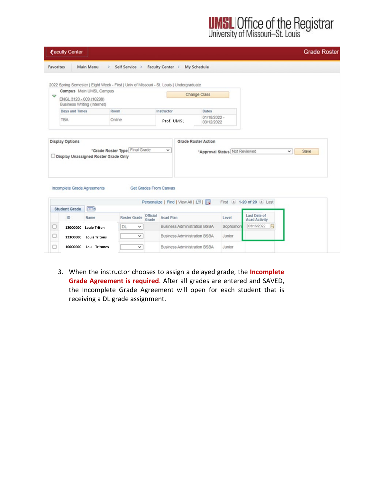**UMSL Office of the Registrar**<br>University of Missouri-St. Louis

|                  | <b><i><u>Eaculty Center</u></i></b>                                                           |                                      |                                                                                                            |                                                                                         |                                                              |                               |                                                                | <b>Grade Roster</b>  |
|------------------|-----------------------------------------------------------------------------------------------|--------------------------------------|------------------------------------------------------------------------------------------------------------|-----------------------------------------------------------------------------------------|--------------------------------------------------------------|-------------------------------|----------------------------------------------------------------|----------------------|
| <b>Favorites</b> |                                                                                               | Main Menu<br>$\rightarrow$           | Self Service >                                                                                             | Faculty Center >                                                                        | <b>My Schedule</b>                                           |                               |                                                                |                      |
| A                | ENGL 3120 - 009 (10298)<br>Business Writing (Internet)<br><b>Days and Times</b><br><b>TBA</b> | Campus Main UMSL Campus              | 2022 Spring Semester   Eight Week - First   Univ of Missouri - St. Louis   Undergraduate<br>Room<br>Online | Instructor<br>Prof. UMSL                                                                | Change Class<br><b>Dates</b><br>$01/18/2022 -$<br>03/12/2022 |                               |                                                                |                      |
|                  | <b>Display Options</b>                                                                        | Display Unassigned Roster Grade Only | "Grade Roster Type Final Grade                                                                             | $\checkmark$                                                                            | <b>Grade Roster Action</b>                                   | "Approval Status Not Reviewed |                                                                | Save<br>$\checkmark$ |
|                  | Incomplete Grade Agreements<br><b>Student Grade</b>                                           | (HH)                                 | Get Grades From Canvas                                                                                     | Personalize   Find   View All   2                                                       |                                                              |                               | First 4 1-20 of 20 1 Last                                      |                      |
|                  | ID                                                                                            | Name<br>12000000 Louie Triton        | Official<br><b>Roster Grade</b><br>Grade<br><b>DL</b><br>$\checkmark$<br>$\check{~}$                       | Acad Plan<br><b>Business Administration BSBA</b><br><b>Business Administration BSBA</b> |                                                              | Level<br>Sophomore<br>Junior  | <b>Last Date of</b><br><b>Acad Activity</b><br>03/16/2022<br>时 |                      |
| O                | 12300000<br>10000000                                                                          | <b>Louis Tritons</b><br>Lou Tritones | v                                                                                                          | <b>Business Administration BSBA</b>                                                     |                                                              | Junior                        |                                                                |                      |

3. When the instructor chooses to assign a delayed grade, the **Incomplete Grade Agreement is required**. After all grades are entered and SAVED, the Incomplete Grade Agreement will open for each student that is receiving a DL grade assignment.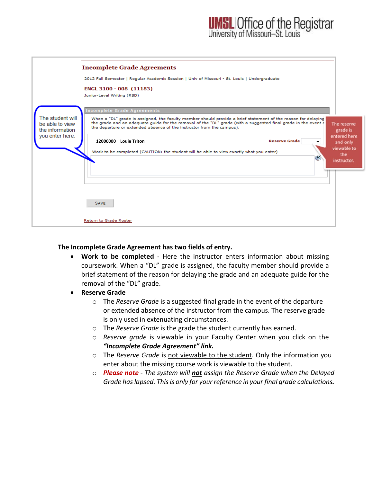

### **The Incomplete Grade Agreement has two fields of entry.**

- **Work to be completed** Here the instructor enters information about missing coursework. When a "DL" grade is assigned, the faculty member should provide a brief statement of the reason for delaying the grade and an adequate guide for the removal of the "DL" grade.
- **Reserve Grade**
	- o The *Reserve Grade* is a suggested final grade in the event of the departure or extended absence of the instructor from the campus. The reserve grade is only used in extenuating circumstances.
	- o The *Reserve Grade* is the grade the student currently has earned.
	- o *Reserve grade* is viewable in your Faculty Center when you click on the *"Incomplete Grade Agreement" link.*
	- o The *Reserve Grade* is not viewable to the student. Only the information you enter about the missing course work is viewable to the student.
	- o *Please note The system will not assign the Reserve Grade when the Delayed Grade has lapsed. This is only for your reference in your final grade calculations.*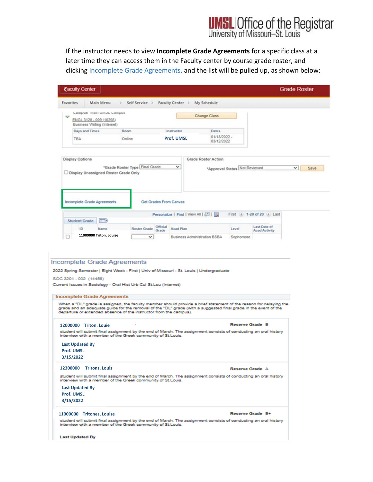# **UMSL Office of the Registrar**<br>University of Missouri-St. Louis

If the instructor needs to view **Incomplete Grade Agreements** for a specific class at a later time they can access them in the Faculty center by course grade roster, and clicking Incomplete Grade Agreements, and the list will be pulled up, as shown below:

| Favorites<br>Main Menu                                                                                                                                                                                                                                                                                                                                                                                                                                                                                 |                                |                                 |                                                                                          |                               |                               | <b>Grade Roster</b> |
|--------------------------------------------------------------------------------------------------------------------------------------------------------------------------------------------------------------------------------------------------------------------------------------------------------------------------------------------------------------------------------------------------------------------------------------------------------------------------------------------------------|--------------------------------|---------------------------------|------------------------------------------------------------------------------------------|-------------------------------|-------------------------------|---------------------|
|                                                                                                                                                                                                                                                                                                                                                                                                                                                                                                        | >                              | Self Service > Faculty Center > | My Schedule                                                                              |                               |                               |                     |
| Campus man umac campus                                                                                                                                                                                                                                                                                                                                                                                                                                                                                 |                                |                                 |                                                                                          |                               |                               |                     |
| Q<br>ENGL 3120 - 009 (10298)<br>Business Writing (Internet)                                                                                                                                                                                                                                                                                                                                                                                                                                            |                                |                                 | <b>Change Class</b>                                                                      |                               |                               |                     |
| Days and Times                                                                                                                                                                                                                                                                                                                                                                                                                                                                                         | Room                           | Instructor                      | <b>Dates</b>                                                                             |                               |                               |                     |
| <b>TBA</b>                                                                                                                                                                                                                                                                                                                                                                                                                                                                                             | Online                         | <b>Prof. UMSL</b>               | 01/18/2022 -<br>03/12/2022                                                               |                               |                               |                     |
|                                                                                                                                                                                                                                                                                                                                                                                                                                                                                                        |                                |                                 |                                                                                          |                               |                               |                     |
| <b>Display Options</b>                                                                                                                                                                                                                                                                                                                                                                                                                                                                                 |                                |                                 | <b>Grade Roster Action</b>                                                               |                               |                               |                     |
|                                                                                                                                                                                                                                                                                                                                                                                                                                                                                                        | *Grade Roster Type Final Grade | $\checkmark$                    |                                                                                          | *Approval Status Not Reviewed |                               | $\vee$<br>Save      |
| Display Unassigned Roster Grade Only                                                                                                                                                                                                                                                                                                                                                                                                                                                                   |                                |                                 |                                                                                          |                               |                               |                     |
|                                                                                                                                                                                                                                                                                                                                                                                                                                                                                                        |                                |                                 |                                                                                          |                               |                               |                     |
|                                                                                                                                                                                                                                                                                                                                                                                                                                                                                                        |                                |                                 |                                                                                          |                               |                               |                     |
| Incomplete Grade Agreements                                                                                                                                                                                                                                                                                                                                                                                                                                                                            |                                | Get Grades From Canvas          |                                                                                          |                               |                               |                     |
|                                                                                                                                                                                                                                                                                                                                                                                                                                                                                                        |                                |                                 | Personalize   Find   View All   [33   11                                                 |                               | First (4) 1-20 of 20 (a) Last |                     |
| $\sqrt{1119}$<br><b>Student Grade</b>                                                                                                                                                                                                                                                                                                                                                                                                                                                                  |                                |                                 |                                                                                          |                               |                               |                     |
| ID<br>Name                                                                                                                                                                                                                                                                                                                                                                                                                                                                                             | Roster Grade                   | Official<br><b>Acad Plan</b>    |                                                                                          | Level                         | Last Date of                  |                     |
| 11000000 Triton, Louise                                                                                                                                                                                                                                                                                                                                                                                                                                                                                | v                              | Grade                           |                                                                                          |                               | <b>Acad Activity</b>          |                     |
|                                                                                                                                                                                                                                                                                                                                                                                                                                                                                                        |                                |                                 | Business Administration BSBA                                                             | Sophomore                     |                               |                     |
|                                                                                                                                                                                                                                                                                                                                                                                                                                                                                                        |                                |                                 |                                                                                          |                               |                               |                     |
|                                                                                                                                                                                                                                                                                                                                                                                                                                                                                                        |                                |                                 | 2022 Spring Semester   Eight Week - First   Univ of Missouri - St. Louis   Undergraduate |                               |                               |                     |
|                                                                                                                                                                                                                                                                                                                                                                                                                                                                                                        |                                |                                 |                                                                                          |                               |                               |                     |
|                                                                                                                                                                                                                                                                                                                                                                                                                                                                                                        |                                |                                 |                                                                                          |                               |                               |                     |
|                                                                                                                                                                                                                                                                                                                                                                                                                                                                                                        |                                |                                 |                                                                                          |                               |                               |                     |
| SOC 3291 - 002 (14456)<br>Current Issues in Sociology - Oral Hist Urb Cul St.Lou (Internet)<br><b>Incomplete Grade Agreements</b><br>When a "DL" grade is assigned, the faculty member should provide a brief statement of the reason for delaying the<br>grade and an adequate guide for the removal of the "DL" grade (with a suggested final grade in the event of the<br>departure or extended absence of the instructor from the campus).<br>12000000 Triton, Louie                               |                                |                                 |                                                                                          | <b>Reserve Grade B</b>        |                               |                     |
|                                                                                                                                                                                                                                                                                                                                                                                                                                                                                                        |                                |                                 |                                                                                          |                               |                               |                     |
|                                                                                                                                                                                                                                                                                                                                                                                                                                                                                                        |                                |                                 |                                                                                          |                               |                               |                     |
|                                                                                                                                                                                                                                                                                                                                                                                                                                                                                                        |                                |                                 |                                                                                          |                               |                               |                     |
|                                                                                                                                                                                                                                                                                                                                                                                                                                                                                                        |                                |                                 |                                                                                          |                               |                               |                     |
|                                                                                                                                                                                                                                                                                                                                                                                                                                                                                                        |                                |                                 |                                                                                          | Reserve Grade A               |                               |                     |
|                                                                                                                                                                                                                                                                                                                                                                                                                                                                                                        |                                |                                 |                                                                                          |                               |                               |                     |
|                                                                                                                                                                                                                                                                                                                                                                                                                                                                                                        |                                |                                 |                                                                                          |                               |                               |                     |
| student will submit final assignment by the end of March. The assignment consists of conducting an oral history<br>interview with a member of the Greek community of St.Louis.<br><b>Last Updated By</b><br><b>Prof. UMSL</b><br>3/15/2022<br>12300000 Tritons, Louis<br>student will submit final assignment by the end of March. The assignment consists of conducting an oral history<br>interview with a member of the Greek community of St.Louis.<br><b>Last Updated By</b><br><b>Prof. UMSL</b> |                                |                                 |                                                                                          |                               |                               |                     |
|                                                                                                                                                                                                                                                                                                                                                                                                                                                                                                        |                                |                                 |                                                                                          |                               |                               |                     |
| 3/15/2022<br>11000000 Tritones, Louise                                                                                                                                                                                                                                                                                                                                                                                                                                                                 |                                |                                 |                                                                                          |                               | Reserve Grade B+              |                     |
| student will submit final assignment by the end of March. The assignment consists of conducting an oral history<br>interview with a member of the Greek community of St.Louis.                                                                                                                                                                                                                                                                                                                         |                                |                                 |                                                                                          |                               |                               |                     |
| <b>Last Updated By</b>                                                                                                                                                                                                                                                                                                                                                                                                                                                                                 |                                |                                 |                                                                                          |                               |                               |                     |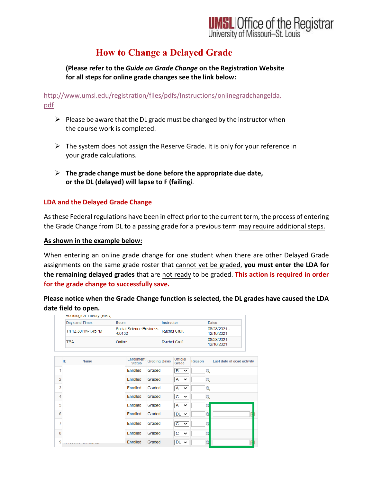

## **How to Change a Delayed Grade**

**(Please refer to the** *Guide on Grade Change* **on the Registration Website for all steps for online grade changes see the link below:**

[http://www.umsl.edu/registration/files/pdfs/Instructions/onlinegradchangelda.](http://www.umsl.edu/registration/files/pdfs/Instructions/onlinegradchangelda.pdf) [pdf](http://www.umsl.edu/registration/files/pdfs/Instructions/onlinegradchangelda.pdf)

- $\triangleright$  Please be aware that the DL grade must be changed by the instructor when the course work is completed.
- $\triangleright$  The system does not assign the Reserve Grade. It is only for your reference in your grade calculations.
- **The grade change must be done before the appropriate due date, or the DL (delayed) will lapse to F (failing***).*

### **LDA and the Delayed Grade Change**

As these Federal regulations have been in effect prior to the current term, the process of entering the Grade Change from DL to a passing grade for a previous term may require additional steps.

#### **As shown in the example below:**

When entering an online grade change for one student when there are other Delayed Grade assignments on the same grade roster that cannot yet be graded, **you must enter the LDA for the remaining delayed grades** that are not ready to be graded. **This action is required in order for the grade change to successfully save.** 

**Please notice when the Grade Change function is selected, the DL grades have caused the LDA date field to open.**

|                |                                                                  | Sociological Triedry (RSD) |  |                                               |                      |                              |                          |                            |                            |   |
|----------------|------------------------------------------------------------------|----------------------------|--|-----------------------------------------------|----------------------|------------------------------|--------------------------|----------------------------|----------------------------|---|
|                | <b>Days and Times</b><br>Room<br>Th 12:30PM-1:45PM<br><b>TBA</b> |                            |  |                                               | <b>Instructor</b>    |                              |                          | <b>Dates</b>               |                            |   |
|                |                                                                  |                            |  | Social Science Business<br>$-00132$<br>Online |                      | Rachel Craft<br>Rachel Craft |                          |                            | 08/23/2021 -<br>12/18/2021 |   |
|                |                                                                  |                            |  |                                               |                      |                              |                          | 08/23/2021 -<br>12/18/2021 |                            |   |
|                | ID                                                               | <b>Name</b>                |  | <b>Enrollment</b><br><b>Status</b>            | <b>Grading Basis</b> |                              | <b>Official</b><br>Grade | Reason                     | Last date of acad activity |   |
| 1              |                                                                  |                            |  | Enrolled                                      | Graded               |                              | B- ∨                     | Q                          |                            |   |
| $\overline{2}$ |                                                                  |                            |  | Enrolled                                      | Graded               |                              | A<br>$\check{ }$         | $\alpha$                   |                            |   |
| 3              |                                                                  |                            |  | Enrolled                                      | Graded               |                              | A<br>$\check{ }$         | Q                          |                            |   |
| 4              |                                                                  |                            |  | Enrolled                                      | Graded               |                              | С<br>$\check{ }$         | $\alpha$                   |                            |   |
| 5              |                                                                  |                            |  | Enrolled                                      | Graded               |                              | А<br>$\check{ }$         | C                          |                            |   |
| 6              |                                                                  |                            |  | Enrolled                                      | Graded               |                              | $DL \sim$                | C                          |                            | F |
| 7              |                                                                  |                            |  | Enrolled                                      | Graded               |                              | C.<br>$\checkmark$       | G                          |                            |   |
| 8              |                                                                  |                            |  | Enrolled                                      | Graded               |                              | $C - \vee$               | C                          |                            |   |
| 9              |                                                                  | مستوجب والمستحدث المناسب   |  | Enrolled                                      | Graded               |                              | $DL \sim$                | O                          |                            | B |